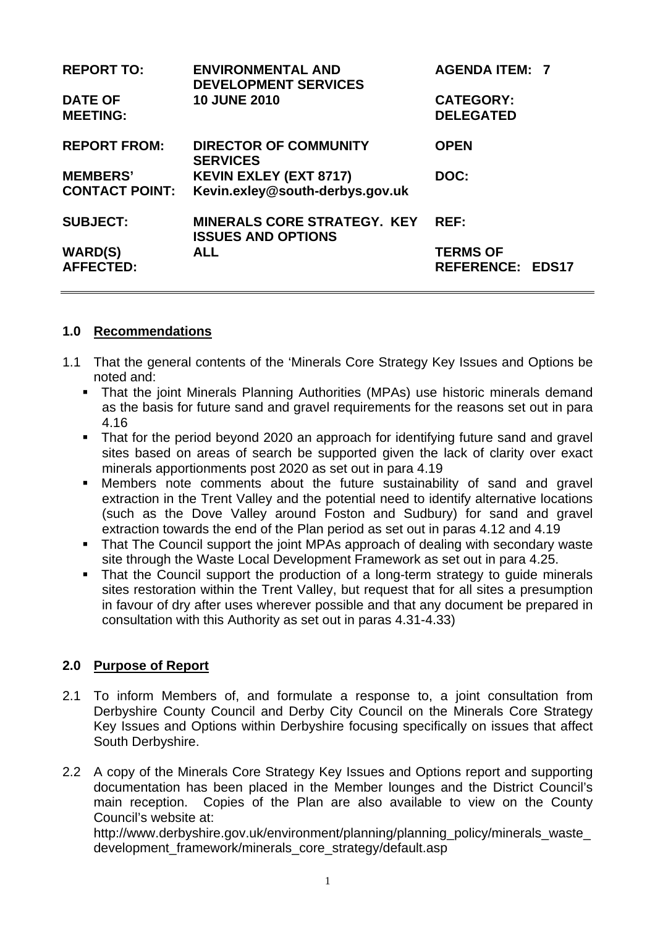| <b>REPORT TO:</b><br><b>DATE OF</b><br><b>MEETING:</b> | <b>ENVIRONMENTAL AND</b><br><b>DEVELOPMENT SERVICES</b><br><b>10 JUNE 2010</b> | <b>AGENDA ITEM: 7</b><br><b>CATEGORY:</b><br><b>DELEGATED</b> |  |
|--------------------------------------------------------|--------------------------------------------------------------------------------|---------------------------------------------------------------|--|
| <b>REPORT FROM:</b>                                    | <b>DIRECTOR OF COMMUNITY</b><br><b>SERVICES</b>                                | <b>OPEN</b>                                                   |  |
| <b>MEMBERS'</b><br><b>CONTACT POINT:</b>               | <b>KEVIN EXLEY (EXT 8717)</b><br>Kevin.exley@south-derbys.gov.uk               | DOC:                                                          |  |
| <b>SUBJECT:</b>                                        | <b>MINERALS CORE STRATEGY. KEY</b><br><b>ISSUES AND OPTIONS</b>                | REF:                                                          |  |
| <b>WARD(S)</b><br><b>AFFECTED:</b>                     | <b>ALL</b>                                                                     | <b>TERMS OF</b><br><b>REFERENCE: EDS17</b>                    |  |

### **1.0 Recommendations**

- 1.1 That the general contents of the 'Minerals Core Strategy Key Issues and Options be noted and:
	- That the joint Minerals Planning Authorities (MPAs) use historic minerals demand as the basis for future sand and gravel requirements for the reasons set out in para 4.16
	- That for the period beyond 2020 an approach for identifying future sand and gravel sites based on areas of search be supported given the lack of clarity over exact minerals apportionments post 2020 as set out in para 4.19
	- Members note comments about the future sustainability of sand and gravel extraction in the Trent Valley and the potential need to identify alternative locations (such as the Dove Valley around Foston and Sudbury) for sand and gravel extraction towards the end of the Plan period as set out in paras 4.12 and 4.19
	- **That The Council support the joint MPAs approach of dealing with secondary waste** site through the Waste Local Development Framework as set out in para 4.25.
	- That the Council support the production of a long-term strategy to quide minerals sites restoration within the Trent Valley, but request that for all sites a presumption in favour of dry after uses wherever possible and that any document be prepared in consultation with this Authority as set out in paras 4.31-4.33)

### **2.0 Purpose of Report**

- 2.1 To inform Members of, and formulate a response to, a joint consultation from Derbyshire County Council and Derby City Council on the Minerals Core Strategy Key Issues and Options within Derbyshire focusing specifically on issues that affect South Derbyshire.
- 2.2 A copy of the Minerals Core Strategy Key Issues and Options report and supporting documentation has been placed in the Member lounges and the District Council's main reception. Copies of the Plan are also available to view on the County Council's website at:

http://www.derbyshire.gov.uk/environment/planning/planning\_policy/minerals\_waste [development\\_framework/minerals\\_core\\_strategy/default.asp](http://www.derbyshire.gov.uk/environment/planning/planning_policy/minerals_waste_development_framework/minerals_core_strategy/default.asp)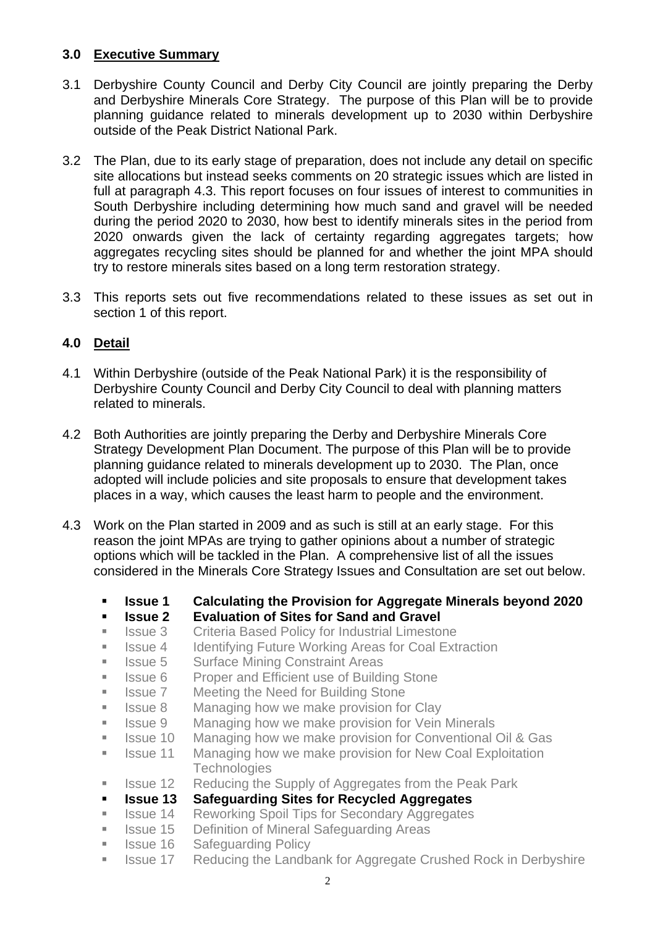### **3.0 Executive Summary**

- 3.1 Derbyshire County Council and Derby City Council are jointly preparing the Derby and Derbyshire Minerals Core Strategy. The purpose of this Plan will be to provide planning guidance related to minerals development up to 2030 within Derbyshire outside of the Peak District National Park.
- 3.2 The Plan, due to its early stage of preparation, does not include any detail on specific site allocations but instead seeks comments on 20 strategic issues which are listed in full at paragraph 4.3. This report focuses on four issues of interest to communities in South Derbyshire including determining how much sand and gravel will be needed during the period 2020 to 2030, how best to identify minerals sites in the period from 2020 onwards given the lack of certainty regarding aggregates targets; how aggregates recycling sites should be planned for and whether the joint MPA should try to restore minerals sites based on a long term restoration strategy.
- 3.3 This reports sets out five recommendations related to these issues as set out in section 1 of this report.

# **4.0 Detail**

- 4.1 Within Derbyshire (outside of the Peak National Park) it is the responsibility of Derbyshire County Council and Derby City Council to deal with planning matters related to minerals.
- 4.2 Both Authorities are jointly preparing the Derby and Derbyshire Minerals Core Strategy Development Plan Document. The purpose of this Plan will be to provide planning guidance related to minerals development up to 2030. The Plan, once adopted will include policies and site proposals to ensure that development takes places in a way, which causes the least harm to people and the environment.
- 4.3 Work on the Plan started in 2009 and as such is still at an early stage. For this reason the joint MPAs are trying to gather opinions about a number of strategic options which will be tackled in the Plan. A comprehensive list of all the issues considered in the Minerals Core Strategy Issues and Consultation are set out below.
	- **Issue 1 Calculating the Provision for Aggregate Minerals beyond 2020**
	- **Issue 2 Evaluation of Sites for Sand and Gravel**
	- **ISSUE 3** Criteria Based Policy for Industrial Limestone
	- Issue 4 Identifying Future Working Areas for Coal Extraction
	- Issue 5 Surface Mining Constraint Areas
	- Issue 6 Proper and Efficient use of Building Stone
	- Issue 7 Meeting the Need for Building Stone
	- Issue 8 Managing how we make provision for Clay
	- Issue 9 Managing how we make provision for Vein Minerals
	- **ISSUE 10** Managing how we make provision for Conventional Oil & Gas
	- Issue 11 Managing how we make provision for New Coal Exploitation **Technologies**
	- Issue 12 Reducing the Supply of Aggregates from the Peak Park
	- **Issue 13 Safeguarding Sites for Recycled Aggregates**
	- **ISSUE 14 Reworking Spoil Tips for Secondary Aggregates**
	- **In Itsue 15 Definition of Mineral Safeguarding Areas**
	- **ISSUE 16 Safeguarding Policy**
	- Issue 17 Reducing the Landbank for Aggregate Crushed Rock in Derbyshire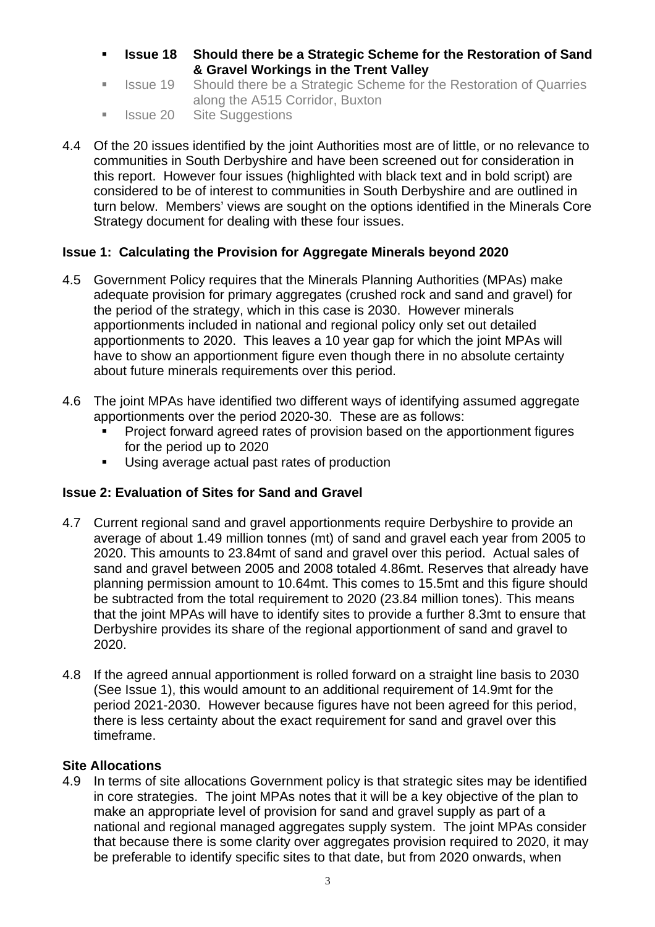- **Issue 18 Should there be a Strategic Scheme for the Restoration of Sand & Gravel Workings in the Trent Valley**
- Issue 19 Should there be a Strategic Scheme for the Restoration of Quarries along the A515 Corridor, Buxton
- Issue 20 Site Suggestions
- 4.4 Of the 20 issues identified by the joint Authorities most are of little, or no relevance to communities in South Derbyshire and have been screened out for consideration in this report. However four issues (highlighted with black text and in bold script) are considered to be of interest to communities in South Derbyshire and are outlined in turn below. Members' views are sought on the options identified in the Minerals Core Strategy document for dealing with these four issues.

### **Issue 1: Calculating the Provision for Aggregate Minerals beyond 2020**

- 4.5 Government Policy requires that the Minerals Planning Authorities (MPAs) make adequate provision for primary aggregates (crushed rock and sand and gravel) for the period of the strategy, which in this case is 2030. However minerals apportionments included in national and regional policy only set out detailed apportionments to 2020. This leaves a 10 year gap for which the joint MPAs will have to show an apportionment figure even though there in no absolute certainty about future minerals requirements over this period.
- 4.6 The joint MPAs have identified two different ways of identifying assumed aggregate apportionments over the period 2020-30. These are as follows:
	- Project forward agreed rates of provision based on the apportionment figures for the period up to 2020
	- Using average actual past rates of production

### **Issue 2: Evaluation of Sites for Sand and Gravel**

- 4.7 Current regional sand and gravel apportionments require Derbyshire to provide an average of about 1.49 million tonnes (mt) of sand and gravel each year from 2005 to 2020. This amounts to 23.84mt of sand and gravel over this period. Actual sales of sand and gravel between 2005 and 2008 totaled 4.86mt. Reserves that already have planning permission amount to 10.64mt. This comes to 15.5mt and this figure should be subtracted from the total requirement to 2020 (23.84 million tones). This means that the joint MPAs will have to identify sites to provide a further 8.3mt to ensure that Derbyshire provides its share of the regional apportionment of sand and gravel to 2020.
- 4.8 If the agreed annual apportionment is rolled forward on a straight line basis to 2030 (See Issue 1), this would amount to an additional requirement of 14.9mt for the period 2021-2030. However because figures have not been agreed for this period, there is less certainty about the exact requirement for sand and gravel over this timeframe.

### **Site Allocations**

4.9 In terms of site allocations Government policy is that strategic sites may be identified in core strategies. The joint MPAs notes that it will be a key objective of the plan to make an appropriate level of provision for sand and gravel supply as part of a national and regional managed aggregates supply system. The joint MPAs consider that because there is some clarity over aggregates provision required to 2020, it may be preferable to identify specific sites to that date, but from 2020 onwards, when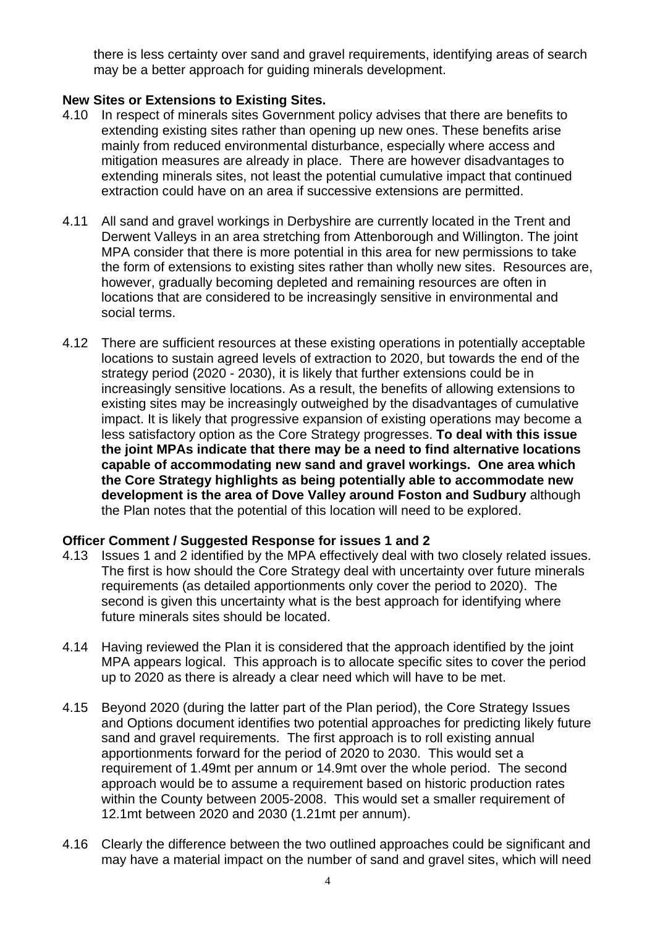there is less certainty over sand and gravel requirements, identifying areas of search may be a better approach for guiding minerals development.

### **New Sites or Extensions to Existing Sites.**

- 4.10 In respect of minerals sites Government policy advises that there are benefits to extending existing sites rather than opening up new ones. These benefits arise mainly from reduced environmental disturbance, especially where access and mitigation measures are already in place. There are however disadvantages to extending minerals sites, not least the potential cumulative impact that continued extraction could have on an area if successive extensions are permitted.
- 4.11 All sand and gravel workings in Derbyshire are currently located in the Trent and Derwent Valleys in an area stretching from Attenborough and Willington. The joint MPA consider that there is more potential in this area for new permissions to take the form of extensions to existing sites rather than wholly new sites. Resources are, however, gradually becoming depleted and remaining resources are often in locations that are considered to be increasingly sensitive in environmental and social terms.
- 4.12 There are sufficient resources at these existing operations in potentially acceptable locations to sustain agreed levels of extraction to 2020, but towards the end of the strategy period (2020 - 2030), it is likely that further extensions could be in increasingly sensitive locations. As a result, the benefits of allowing extensions to existing sites may be increasingly outweighed by the disadvantages of cumulative impact. It is likely that progressive expansion of existing operations may become a less satisfactory option as the Core Strategy progresses. **To deal with this issue the joint MPAs indicate that there may be a need to find alternative locations capable of accommodating new sand and gravel workings. One area which the Core Strategy highlights as being potentially able to accommodate new development is the area of Dove Valley around Foston and Sudbury** although the Plan notes that the potential of this location will need to be explored.

#### **Officer Comment / Suggested Response for issues 1 and 2**

- 4.13 Issues 1 and 2 identified by the MPA effectively deal with two closely related issues. The first is how should the Core Strategy deal with uncertainty over future minerals requirements (as detailed apportionments only cover the period to 2020). The second is given this uncertainty what is the best approach for identifying where future minerals sites should be located.
- 4.14 Having reviewed the Plan it is considered that the approach identified by the joint MPA appears logical. This approach is to allocate specific sites to cover the period up to 2020 as there is already a clear need which will have to be met.
- 4.15 Beyond 2020 (during the latter part of the Plan period), the Core Strategy Issues and Options document identifies two potential approaches for predicting likely future sand and gravel requirements. The first approach is to roll existing annual apportionments forward for the period of 2020 to 2030. This would set a requirement of 1.49mt per annum or 14.9mt over the whole period. The second approach would be to assume a requirement based on historic production rates within the County between 2005-2008. This would set a smaller requirement of 12.1mt between 2020 and 2030 (1.21mt per annum).
- 4.16 Clearly the difference between the two outlined approaches could be significant and may have a material impact on the number of sand and gravel sites, which will need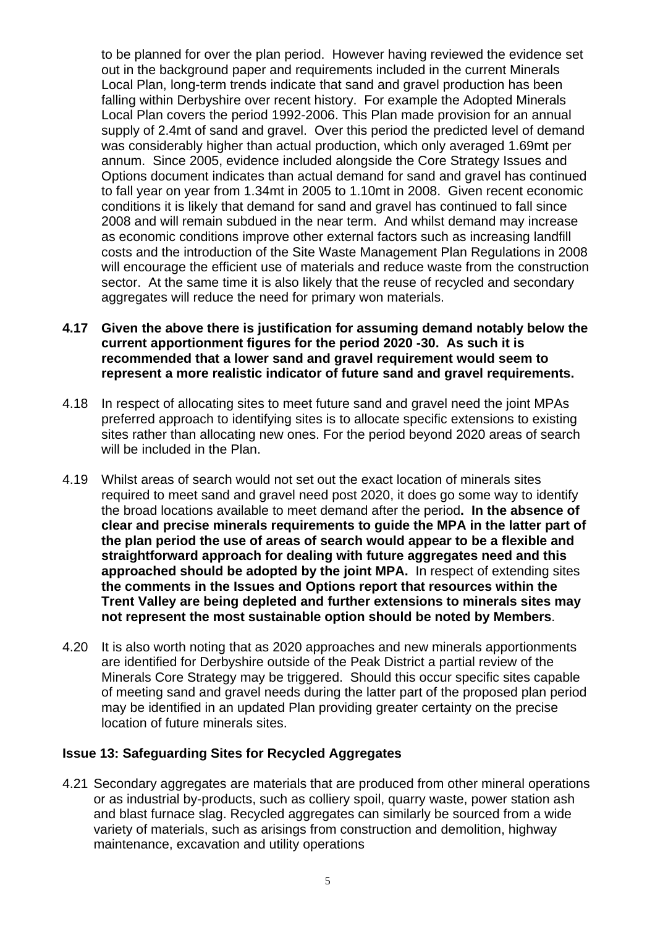to be planned for over the plan period. However having reviewed the evidence set out in the background paper and requirements included in the current Minerals Local Plan, long-term trends indicate that sand and gravel production has been falling within Derbyshire over recent history. For example the Adopted Minerals Local Plan covers the period 1992-2006. This Plan made provision for an annual supply of 2.4mt of sand and gravel. Over this period the predicted level of demand was considerably higher than actual production, which only averaged 1.69mt per annum. Since 2005, evidence included alongside the Core Strategy Issues and Options document indicates than actual demand for sand and gravel has continued to fall year on year from 1.34mt in 2005 to 1.10mt in 2008. Given recent economic conditions it is likely that demand for sand and gravel has continued to fall since 2008 and will remain subdued in the near term. And whilst demand may increase as economic conditions improve other external factors such as increasing landfill costs and the introduction of the Site Waste Management Plan Regulations in 2008 will encourage the efficient use of materials and reduce waste from the construction sector. At the same time it is also likely that the reuse of recycled and secondary aggregates will reduce the need for primary won materials.

- **4.17 Given the above there is justification for assuming demand notably below the current apportionment figures for the period 2020 -30. As such it is recommended that a lower sand and gravel requirement would seem to represent a more realistic indicator of future sand and gravel requirements.**
- 4.18 In respect of allocating sites to meet future sand and gravel need the joint MPAs preferred approach to identifying sites is to allocate specific extensions to existing sites rather than allocating new ones. For the period beyond 2020 areas of search will be included in the Plan.
- 4.19 Whilst areas of search would not set out the exact location of minerals sites required to meet sand and gravel need post 2020, it does go some way to identify the broad locations available to meet demand after the period**. In the absence of clear and precise minerals requirements to guide the MPA in the latter part of the plan period the use of areas of search would appear to be a flexible and straightforward approach for dealing with future aggregates need and this approached should be adopted by the joint MPA.** In respect of extending sites **the comments in the Issues and Options report that resources within the Trent Valley are being depleted and further extensions to minerals sites may not represent the most sustainable option should be noted by Members**.
- 4.20 It is also worth noting that as 2020 approaches and new minerals apportionments are identified for Derbyshire outside of the Peak District a partial review of the Minerals Core Strategy may be triggered. Should this occur specific sites capable of meeting sand and gravel needs during the latter part of the proposed plan period may be identified in an updated Plan providing greater certainty on the precise location of future minerals sites.

#### **Issue 13: Safeguarding Sites for Recycled Aggregates**

4.21 Secondary aggregates are materials that are produced from other mineral operations or as industrial by-products, such as colliery spoil, quarry waste, power station ash and blast furnace slag. Recycled aggregates can similarly be sourced from a wide variety of materials, such as arisings from construction and demolition, highway maintenance, excavation and utility operations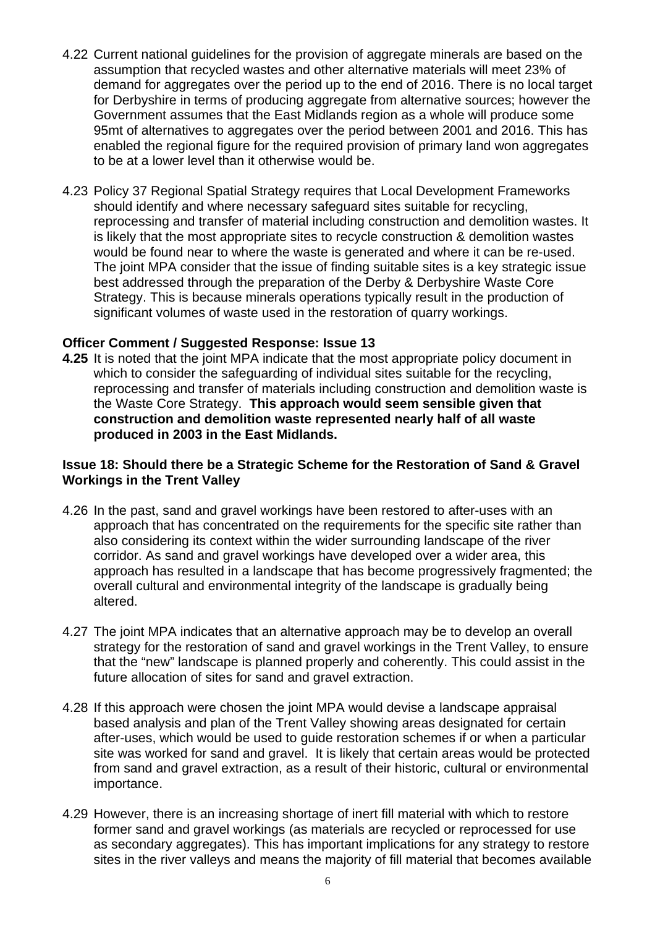- 4.22 Current national guidelines for the provision of aggregate minerals are based on the assumption that recycled wastes and other alternative materials will meet 23% of demand for aggregates over the period up to the end of 2016. There is no local target for Derbyshire in terms of producing aggregate from alternative sources; however the Government assumes that the East Midlands region as a whole will produce some 95mt of alternatives to aggregates over the period between 2001 and 2016. This has enabled the regional figure for the required provision of primary land won aggregates to be at a lower level than it otherwise would be.
- 4.23 Policy 37 Regional Spatial Strategy requires that Local Development Frameworks should identify and where necessary safeguard sites suitable for recycling, reprocessing and transfer of material including construction and demolition wastes. It is likely that the most appropriate sites to recycle construction & demolition wastes would be found near to where the waste is generated and where it can be re-used. The joint MPA consider that the issue of finding suitable sites is a key strategic issue best addressed through the preparation of the Derby & Derbyshire Waste Core Strategy. This is because minerals operations typically result in the production of significant volumes of waste used in the restoration of quarry workings.

#### **Officer Comment / Suggested Response: Issue 13**

**4.25** It is noted that the joint MPA indicate that the most appropriate policy document in which to consider the safeguarding of individual sites suitable for the recycling, reprocessing and transfer of materials including construction and demolition waste is the Waste Core Strategy. **This approach would seem sensible given that construction and demolition waste represented nearly half of all waste produced in 2003 in the East Midlands.** 

#### **Issue 18: Should there be a Strategic Scheme for the Restoration of Sand & Gravel Workings in the Trent Valley**

- 4.26 In the past, sand and gravel workings have been restored to after-uses with an approach that has concentrated on the requirements for the specific site rather than also considering its context within the wider surrounding landscape of the river corridor. As sand and gravel workings have developed over a wider area, this approach has resulted in a landscape that has become progressively fragmented; the overall cultural and environmental integrity of the landscape is gradually being altered.
- 4.27 The joint MPA indicates that an alternative approach may be to develop an overall strategy for the restoration of sand and gravel workings in the Trent Valley, to ensure that the "new" landscape is planned properly and coherently. This could assist in the future allocation of sites for sand and gravel extraction.
- 4.28 If this approach were chosen the joint MPA would devise a landscape appraisal based analysis and plan of the Trent Valley showing areas designated for certain after-uses, which would be used to guide restoration schemes if or when a particular site was worked for sand and gravel. It is likely that certain areas would be protected from sand and gravel extraction, as a result of their historic, cultural or environmental importance.
- 4.29 However, there is an increasing shortage of inert fill material with which to restore former sand and gravel workings (as materials are recycled or reprocessed for use as secondary aggregates). This has important implications for any strategy to restore sites in the river valleys and means the majority of fill material that becomes available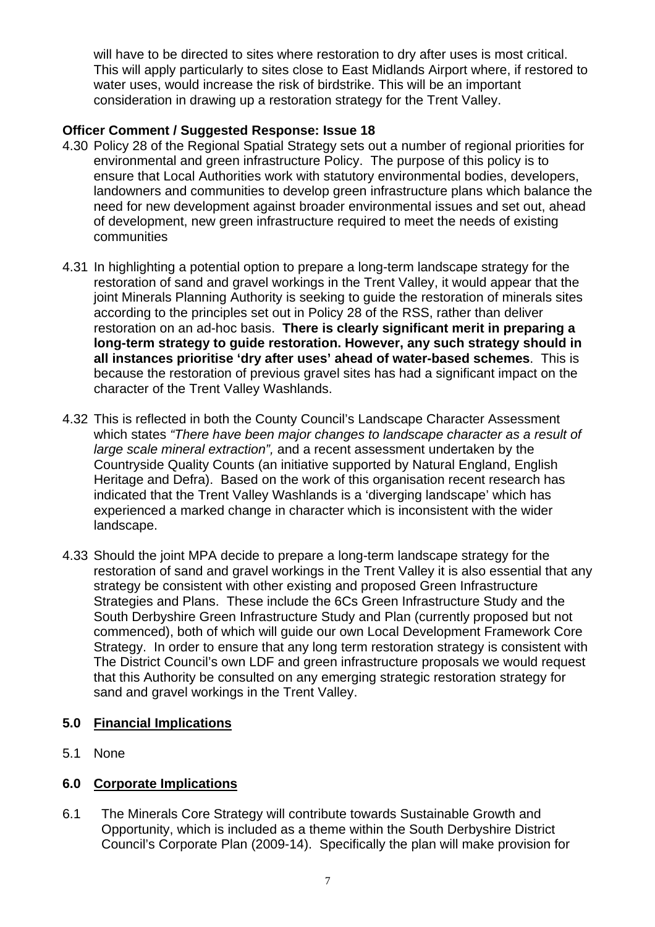will have to be directed to sites where restoration to dry after uses is most critical. This will apply particularly to sites close to East Midlands Airport where, if restored to water uses, would increase the risk of birdstrike. This will be an important consideration in drawing up a restoration strategy for the Trent Valley.

## **Officer Comment / Suggested Response: Issue 18**

- 4.30 Policy 28 of the Regional Spatial Strategy sets out a number of regional priorities for environmental and green infrastructure Policy. The purpose of this policy is to ensure that Local Authorities work with statutory environmental bodies, developers, landowners and communities to develop green infrastructure plans which balance the need for new development against broader environmental issues and set out, ahead of development, new green infrastructure required to meet the needs of existing communities
- 4.31 In highlighting a potential option to prepare a long-term landscape strategy for the restoration of sand and gravel workings in the Trent Valley, it would appear that the joint Minerals Planning Authority is seeking to guide the restoration of minerals sites according to the principles set out in Policy 28 of the RSS, rather than deliver restoration on an ad-hoc basis. **There is clearly significant merit in preparing a long-term strategy to guide restoration. However, any such strategy should in all instances prioritise 'dry after uses' ahead of water-based schemes**. This is because the restoration of previous gravel sites has had a significant impact on the character of the Trent Valley Washlands.
- 4.32 This is reflected in both the County Council's Landscape Character Assessment which states *"There have been major changes to landscape character as a result of large scale mineral extraction",* and a recent assessment undertaken by the Countryside Quality Counts (an initiative supported by Natural England, English Heritage and Defra). Based on the work of this organisation recent research has indicated that the Trent Valley Washlands is a 'diverging landscape' which has experienced a marked change in character which is inconsistent with the wider landscape.
- 4.33 Should the joint MPA decide to prepare a long-term landscape strategy for the restoration of sand and gravel workings in the Trent Valley it is also essential that any strategy be consistent with other existing and proposed Green Infrastructure Strategies and Plans. These include the 6Cs Green Infrastructure Study and the South Derbyshire Green Infrastructure Study and Plan (currently proposed but not commenced), both of which will guide our own Local Development Framework Core Strategy. In order to ensure that any long term restoration strategy is consistent with The District Council's own LDF and green infrastructure proposals we would request that this Authority be consulted on any emerging strategic restoration strategy for sand and gravel workings in the Trent Valley.

### **5.0 Financial Implications**

5.1 None

### **6.0 Corporate Implications**

6.1 The Minerals Core Strategy will contribute towards Sustainable Growth and Opportunity, which is included as a theme within the South Derbyshire District Council's Corporate Plan (2009-14). Specifically the plan will make provision for